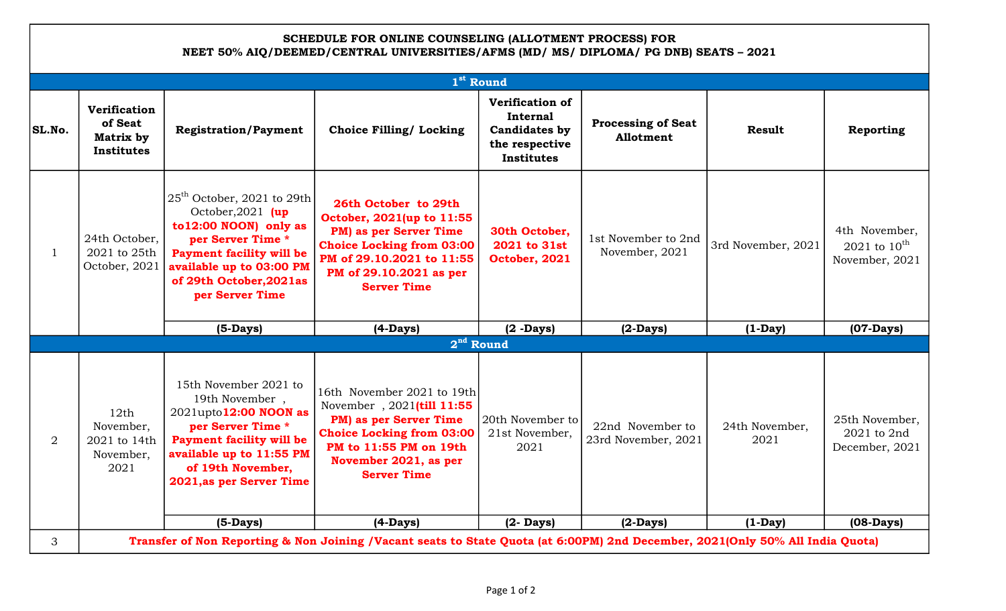## SCHEDULE FOR ONLINE COUNSELING (ALLOTMENT PROCESS) FOR NEET 50% AIQ/DEEMED/CENTRAL UNIVERSITIES/AFMS (MD/ MS/ DIPLOMA/ PG DNB) SEATS – 2021

| 1 <sup>st</sup> Round |                                                                                                                               |                                                                                                                                                                                                               |                                                                                                                                                                                                |                                                                                            |                                         |                        |                                                             |  |  |  |  |
|-----------------------|-------------------------------------------------------------------------------------------------------------------------------|---------------------------------------------------------------------------------------------------------------------------------------------------------------------------------------------------------------|------------------------------------------------------------------------------------------------------------------------------------------------------------------------------------------------|--------------------------------------------------------------------------------------------|-----------------------------------------|------------------------|-------------------------------------------------------------|--|--|--|--|
| SL.No.                | <b>Verification</b><br>of Seat<br>Matrix by<br><b>Institutes</b>                                                              | <b>Registration/Payment</b>                                                                                                                                                                                   | <b>Choice Filling/ Locking</b>                                                                                                                                                                 | <b>Verification of</b><br>Internal<br><b>Candidates by</b><br>the respective<br>Institutes | <b>Processing of Seat</b><br>Allotment  | <b>Result</b>          | Reporting                                                   |  |  |  |  |
| 1                     | 24th October,<br>2021 to 25th<br>October, 2021                                                                                | $25th$ October, 2021 to 29th<br>October, 2021 $up$<br>to12:00 NOON) only as<br>per Server Time *<br><b>Payment facility will be</b><br>available up to 03:00 PM<br>of 29th October, 2021as<br>per Server Time | 26th October to 29th<br>October, 2021(up to 11:55<br>PM) as per Server Time<br><b>Choice Locking from 03:00</b><br>PM of 29.10.2021 to 11:55<br>PM of 29.10.2021 as per<br><b>Server Time</b>  | 30th October,<br>2021 to 31st<br>October, 2021                                             | 1st November to 2nd<br>November, 2021   | 3rd November, 2021     | 4th November,<br>2021 to $10^{\text{th}}$<br>November, 2021 |  |  |  |  |
|                       |                                                                                                                               | $(5-Days)$                                                                                                                                                                                                    | $(4-Days)$                                                                                                                                                                                     | $(2 -$ Days $)$                                                                            | $(2-Days)$                              | $(1-Day)$              | $(07-Days)$                                                 |  |  |  |  |
| $2nd$ Round           |                                                                                                                               |                                                                                                                                                                                                               |                                                                                                                                                                                                |                                                                                            |                                         |                        |                                                             |  |  |  |  |
| 2                     | 12th<br>November,<br>2021 to 14th<br>November,<br>2021                                                                        | 15th November 2021 to<br>19th November,<br>2021upto12:00 NOON as<br>per Server Time *<br><b>Payment facility will be</b><br>available up to 11:55 PM<br>of 19th November,<br>2021, as per Server Time         | 16th November 2021 to 19th<br>November, 2021(till 11:55<br>PM) as per Server Time<br><b>Choice Locking from 03:00</b><br>PM to 11:55 PM on 19th<br>November 2021, as per<br><b>Server Time</b> | 20th November to<br>21st November,<br>2021                                                 | 22nd November to<br>23rd November, 2021 | 24th November,<br>2021 | 25th November,<br>2021 to 2nd<br>December, 2021             |  |  |  |  |
|                       |                                                                                                                               | $(5-Days)$                                                                                                                                                                                                    | $(4-Days)$                                                                                                                                                                                     | $(2 - Days)$                                                                               | $(2-Days)$                              | $(1-Day)$              | $(08-Days)$                                                 |  |  |  |  |
| 3                     | Transfer of Non Reporting & Non Joining /Vacant seats to State Quota (at 6:00PM) 2nd December, 2021(Only 50% All India Quota) |                                                                                                                                                                                                               |                                                                                                                                                                                                |                                                                                            |                                         |                        |                                                             |  |  |  |  |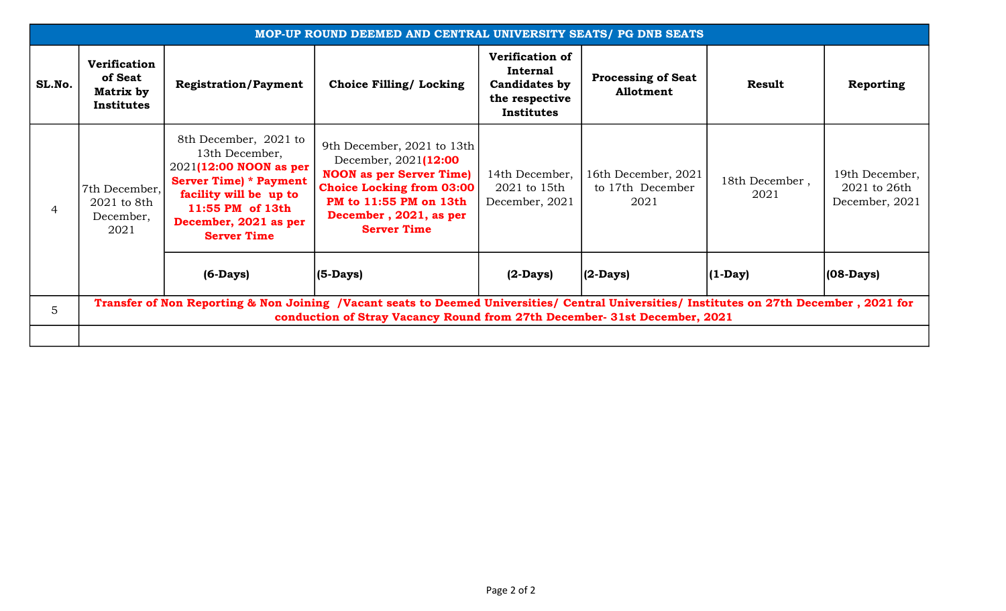| MOP-UP ROUND DEEMED AND CENTRAL UNIVERSITY SEATS/ PG DNB SEATS |                                                                                                                                                                                                                        |                                                                                                                                                                                                 |                                                                                                                                                                                                     |                                                                                     |                                                 |                        |                                                  |  |  |  |
|----------------------------------------------------------------|------------------------------------------------------------------------------------------------------------------------------------------------------------------------------------------------------------------------|-------------------------------------------------------------------------------------------------------------------------------------------------------------------------------------------------|-----------------------------------------------------------------------------------------------------------------------------------------------------------------------------------------------------|-------------------------------------------------------------------------------------|-------------------------------------------------|------------------------|--------------------------------------------------|--|--|--|
| SL.No.                                                         | <b>Verification</b><br>of Seat<br>Matrix by<br>Institutes                                                                                                                                                              | <b>Registration/Payment</b>                                                                                                                                                                     | <b>Choice Filling/ Locking</b>                                                                                                                                                                      | Verification of<br>Internal<br>Candidates by<br>the respective<br><b>Institutes</b> | <b>Processing of Seat</b><br>Allotment          | <b>Result</b>          | Reporting                                        |  |  |  |
| 4                                                              | 7th December,<br>2021 to 8th<br>December,<br>2021                                                                                                                                                                      | 8th December, 2021 to<br>13th December,<br>2021(12:00 NOON as per<br><b>Server Time) * Payment</b><br>facility will be up to<br>11:55 PM of 13th<br>December, 2021 as per<br><b>Server Time</b> | 9th December, 2021 to 13th<br>December, 2021(12:00<br><b>NOON</b> as per Server Time)<br><b>Choice Locking from 03:00</b><br>PM to 11:55 PM on 13th<br>December, 2021, as per<br><b>Server Time</b> | 14th December,<br>2021 to 15th<br>December, 2021                                    | 16th December, 2021<br>to 17th December<br>2021 | 18th December,<br>2021 | 19th December,<br>2021 to 26th<br>December, 2021 |  |  |  |
|                                                                |                                                                                                                                                                                                                        | $(6-Days)$                                                                                                                                                                                      | $(5$ -Days)                                                                                                                                                                                         | $(2-Days)$                                                                          | $(2$ -Days)                                     | $(1-Day)$              | $(08-Days)$                                      |  |  |  |
| 5                                                              | Transfer of Non Reporting & Non Joining /Vacant seats to Deemed Universities/ Central Universities/ Institutes on 27th December, 2021 for<br>conduction of Stray Vacancy Round from 27th December- 31st December, 2021 |                                                                                                                                                                                                 |                                                                                                                                                                                                     |                                                                                     |                                                 |                        |                                                  |  |  |  |
|                                                                |                                                                                                                                                                                                                        |                                                                                                                                                                                                 |                                                                                                                                                                                                     |                                                                                     |                                                 |                        |                                                  |  |  |  |